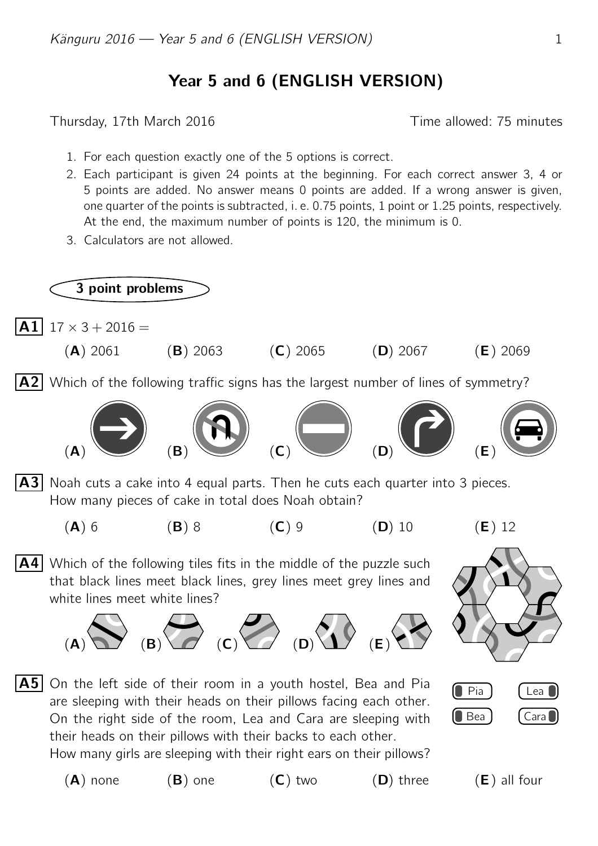## Year 5 and 6 (ENGLISH VERSION)

Thursday, 17th March 2016 **Thursday**, 17th March 2016

- 1. For each question exactly one of the 5 options is correct.
- 2. Each participant is given 24 points at the beginning. For each correct answer 3, 4 or 5 points are added. No answer means 0 points are added. If a wrong answer is given, one quarter of the points is subtracted, i. e. 0.75 points, 1 point or 1.25 points, respectively. At the end, the maximum number of points is 120, the minimum is 0.
- 3. Calculators are not allowed.

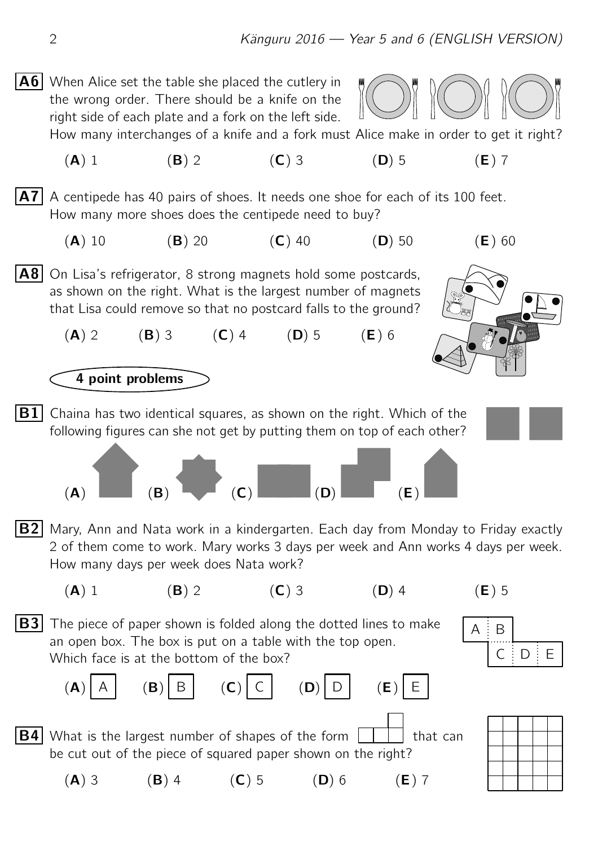$\overline{A6}$  When Alice set the table she placed the cutlery in the wrong order. There should be a knife on the right side of each plate and a fork on the left side.



How many interchanges of a knife and a fork must Alice make in order to get it right?

(A) 1 (B) 2 (C) 3 (D) 5 (E) 7

 $|\mathbf{A7}|$  A centipede has 40 pairs of shoes. It needs one shoe for each of its 100 feet. How many more shoes does the centipede need to buy?

(A) 10 (B) 20 (C) 40 (D) 50 (E) 60



 $(A) 2$  (B) 3 (C) 4 (D) 5 (E) 6



**B1** Chaina has two identical squares, as shown on the right. Which of the following figures can she not get by putting them on top of each other?



- (A)  $(B)$  (B) (C) (B) (B) (E)
- **B2** Mary, Ann and Nata work in a kindergarten. Each day from Monday to Friday exactly 2 of them come to work. Mary works 3 days per week and Ann works 4 days per week. How many days per week does Nata work?



(A) 3 (B) 4 (C) 5 (D) 6 (E) 7



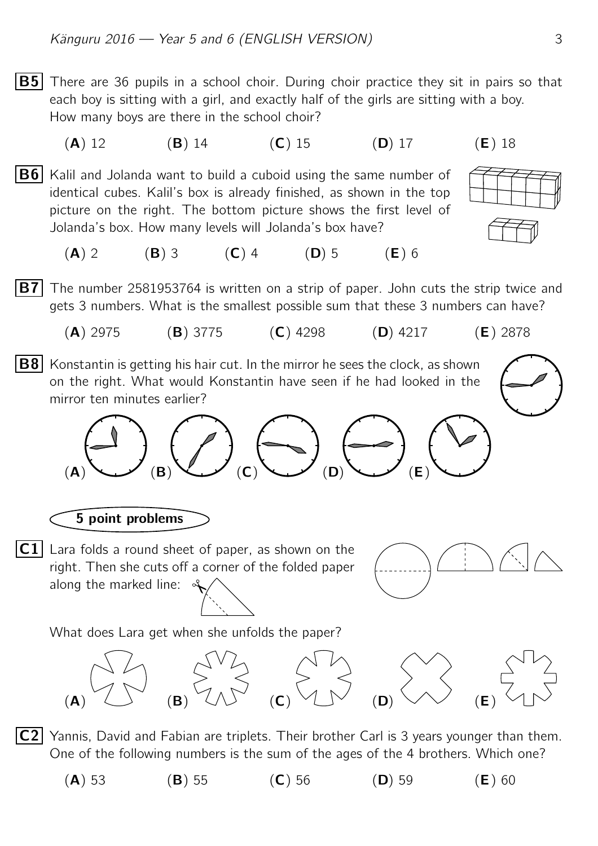- **B5** There are 36 pupils in a school choir. During choir practice they sit in pairs so that each boy is sitting with a girl, and exactly half of the girls are sitting with a boy. How many boys are there in the school choir? (**A**) 12 (**B**) 14 (**C**) 15 (**D**) 17 (**E**) 18
- **B6** Kalil and Jolanda want to build a cuboid using the same number of identical cubes. Kalil's box is already finished, as shown in the top picture on the right. The bottom picture shows the first level of Jolanda's box. How many levels will Jolanda's box have?



(A) 2 (B) 3 (C) 4 (D) 5 (E) 6

**B7** The number 2581953764 is written on a strip of paper. John cuts the strip twice and gets 3 numbers. What is the smallest possible sum that these 3 numbers can have?

- (A) 2975 (B) 3775 (C) 4298 (D) 4217 (E) 2878
- $|{\bf B8}|$  Konstantin is getting his hair cut. In the mirror he sees the clock, as shown on the right. What would Konstantin have seen if he had looked in the mirror ten minutes earlier?



5 point problems

 $|{\sf C1}|$  Lara folds a round sheet of paper, as shown on the right. Then she cuts off a corner of the folded paper along the marked line:  $\mathcal{A}$ 



What does Lara get when she unfolds the paper?



 $|C2|$  Yannis, David and Fabian are triplets. Their brother Carl is 3 years younger than them. One of the following numbers is the sum of the ages of the 4 brothers. Which one?

(**A**) 53 (**B**) 55 (**C**) 56 (**D**) 59 (**E**) 60